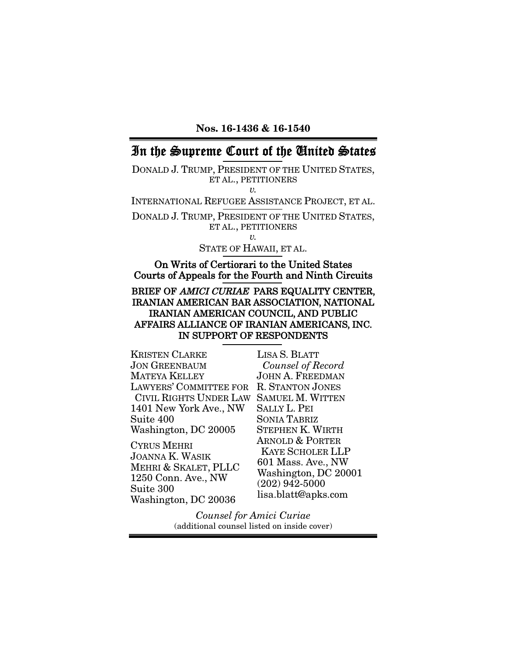Nos. 16-1436 & 16-1540

# In the Supreme Court of the United States

DONALD J. TRUMP, PRESIDENT OF THE UNITED STATES, ET AL., PETITIONERS *v.*

INTERNATIONAL REFUGEE ASSISTANCE PROJECT, ET AL.

DONALD J. TRUMP, PRESIDENT OF THE UNITED STATES, ET AL., PETITIONERS *v.*

STATE OF HAWAII, ET AL.

On Writs of Certiorari to the United States Courts of Appeals for the Fourth and Ninth Circuits

### BRIEF OF AMICI CURIAE PARS EQUALITY CENTER, IRANIAN AMERICAN BAR ASSOCIATION, NATIONAL IRANIAN AMERICAN COUNCIL, AND PUBLIC AFFAIRS ALLIANCE OF IRANIAN AMERICANS, INC. IN SUPPORT OF RESPONDENTS

KRISTEN CLARKE JON GREENBAUM MATEYA KELLEY LAWYERS' COMMITTEE FOR R. STANTON JONES CIVIL RIGHTS UNDER LAW SAMUEL M. WITTEN 1401 New York Ave., NW Suite 400 Washington, DC 20005

CYRUS MEHRI JOANNA K. WASIK MEHRI & SKALET, PLLC 1250 Conn. Ave., NW Suite 300 Washington, DC 20036

LISA S. BLATT *Counsel of Record* JOHN A. FREEDMAN SALLY L. PEI SONIA TABRIZ STEPHEN K. WIRTH ARNOLD & PORTER KAYE SCHOLER LLP 601 Mass. Ave., NW Washington, DC 20001 (202) 942-5000 lisa.blatt@apks.com

*Counsel for Amici Curiae* (additional counsel listed on inside cover)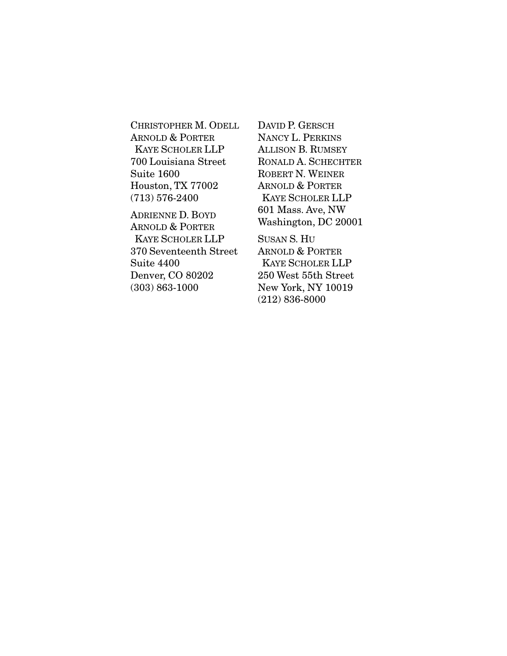CHRISTOPHER M. ODELL ARNOLD & PORTER KAYE SCHOLER LLP 700 Louisiana Street Suite 1600 Houston, TX 77002 (713) 576-2400

ADRIENNE D. BOYD ARNOLD & PORTER KAYE SCHOLER LLP 370 Seventeenth Street Suite 4400 Denver, CO 80202 (303) 863-1000

DAVID P. GERSCH NANCY L. PERKINS ALLISON B. RUMSEY RONALD A. SCHECHTER ROBERT N. WEINER ARNOLD & PORTER KAYE SCHOLER LLP 601 Mass. Ave, NW Washington, DC 20001

SUSAN S. HU ARNOLD & PORTER KAYE SCHOLER LLP 250 West 55th Street New York, NY 10019 (212) 836-8000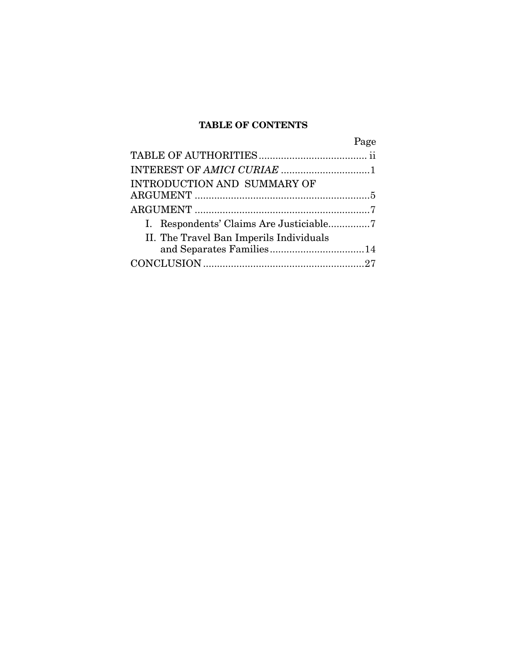# TABLE OF CONTENTS

| Page                                    |
|-----------------------------------------|
|                                         |
|                                         |
| INTRODUCTION AND SUMMARY OF             |
|                                         |
|                                         |
|                                         |
| II. The Travel Ban Imperils Individuals |
|                                         |
|                                         |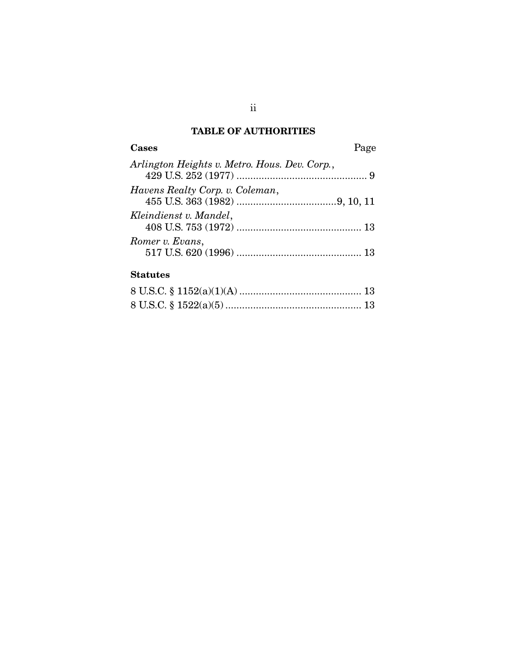# TABLE OF AUTHORITIES

| Cases                                         | Page |
|-----------------------------------------------|------|
| Arlington Heights v. Metro. Hous. Dev. Corp., |      |
| Havens Realty Corp. v. Coleman,               |      |
| Kleindienst v. Mandel,                        |      |
| Romer v. Evans,                               |      |

## **Statutes**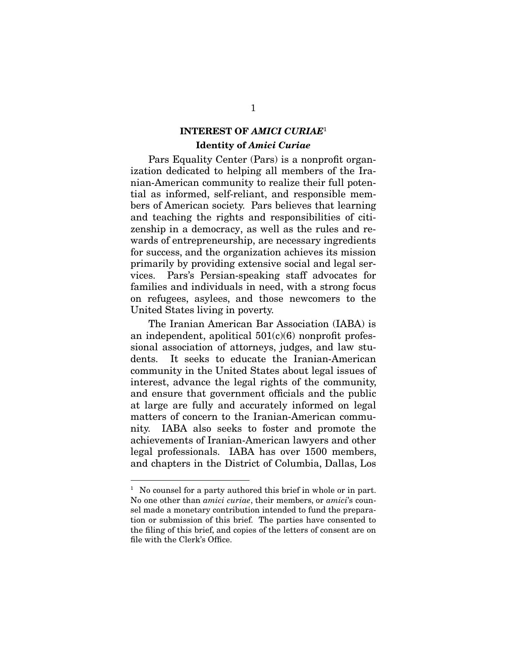# INTEREST OF *AMICI CURIAE*<sup>1</sup>

### Identity of *Amici Curiae*

Pars Equality Center (Pars) is a nonprofit organization dedicated to helping all members of the Iranian-American community to realize their full potential as informed, self-reliant, and responsible members of American society. Pars believes that learning and teaching the rights and responsibilities of citizenship in a democracy, as well as the rules and rewards of entrepreneurship, are necessary ingredients for success, and the organization achieves its mission primarily by providing extensive social and legal services. Pars's Persian-speaking staff advocates for families and individuals in need, with a strong focus on refugees, asylees, and those newcomers to the United States living in poverty.

The Iranian American Bar Association (IABA) is an independent, apolitical  $501(c)(6)$  nonprofit professional association of attorneys, judges, and law students. It seeks to educate the Iranian-American community in the United States about legal issues of interest, advance the legal rights of the community, and ensure that government officials and the public at large are fully and accurately informed on legal matters of concern to the Iranian-American community. IABA also seeks to foster and promote the achievements of Iranian-American lawyers and other legal professionals. IABA has over 1500 members, and chapters in the District of Columbia, Dallas, Los

<sup>&</sup>lt;sup>1</sup> No counsel for a party authored this brief in whole or in part. No one other than *amici curiae*, their members, or *amici*'s counsel made a monetary contribution intended to fund the preparation or submission of this brief. The parties have consented to the filing of this brief, and copies of the letters of consent are on file with the Clerk's Office.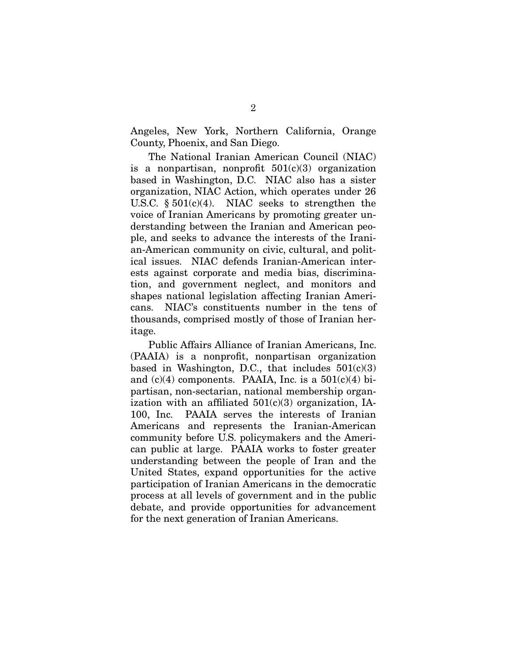Angeles, New York, Northern California, Orange County, Phoenix, and San Diego.

The National Iranian American Council (NIAC) is a nonpartisan, nonprofit  $501(c)(3)$  organization based in Washington, D.C. NIAC also has a sister organization, NIAC Action, which operates under 26 U.S.C.  $\S 501(c)(4)$ . NIAC seeks to strengthen the voice of Iranian Americans by promoting greater understanding between the Iranian and American people, and seeks to advance the interests of the Iranian-American community on civic, cultural, and political issues. NIAC defends Iranian-American interests against corporate and media bias, discrimination, and government neglect, and monitors and shapes national legislation affecting Iranian Americans. NIAC's constituents number in the tens of thousands, comprised mostly of those of Iranian heritage.

Public Affairs Alliance of Iranian Americans, Inc. (PAAIA) is a nonprofit, nonpartisan organization based in Washington, D.C., that includes  $501(c)(3)$ and  $(c)(4)$  components. PAAIA, Inc. is a  $501(c)(4)$  bipartisan, non-sectarian, national membership organization with an affiliated  $501(c)(3)$  organization, IA-100, Inc. PAAIA serves the interests of Iranian Americans and represents the Iranian-American community before U.S. policymakers and the American public at large. PAAIA works to foster greater understanding between the people of Iran and the United States, expand opportunities for the active participation of Iranian Americans in the democratic process at all levels of government and in the public debate, and provide opportunities for advancement for the next generation of Iranian Americans.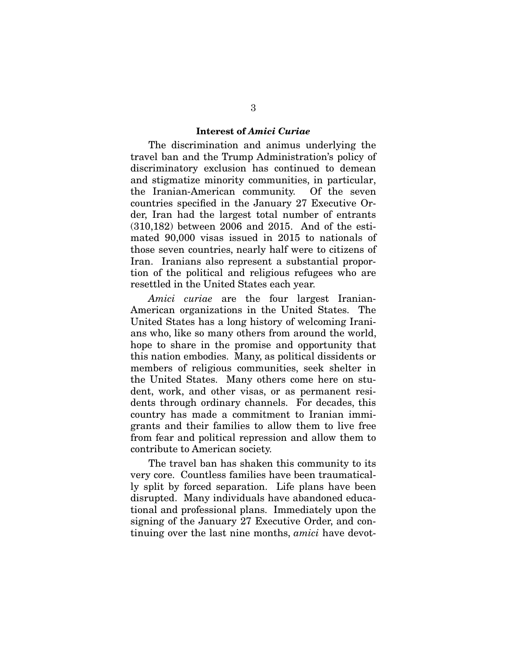#### Interest of *Amici Curiae*

The discrimination and animus underlying the travel ban and the Trump Administration's policy of discriminatory exclusion has continued to demean and stigmatize minority communities, in particular, the Iranian-American community. Of the seven countries specified in the January 27 Executive Order, Iran had the largest total number of entrants (310,182) between 2006 and 2015. And of the estimated 90,000 visas issued in 2015 to nationals of those seven countries, nearly half were to citizens of Iran. Iranians also represent a substantial proportion of the political and religious refugees who are resettled in the United States each year.

*Amici curiae* are the four largest Iranian-American organizations in the United States. The United States has a long history of welcoming Iranians who, like so many others from around the world, hope to share in the promise and opportunity that this nation embodies. Many, as political dissidents or members of religious communities, seek shelter in the United States. Many others come here on student, work, and other visas, or as permanent residents through ordinary channels. For decades, this country has made a commitment to Iranian immigrants and their families to allow them to live free from fear and political repression and allow them to contribute to American society.

The travel ban has shaken this community to its very core. Countless families have been traumatically split by forced separation. Life plans have been disrupted. Many individuals have abandoned educational and professional plans. Immediately upon the signing of the January 27 Executive Order, and continuing over the last nine months, *amici* have devot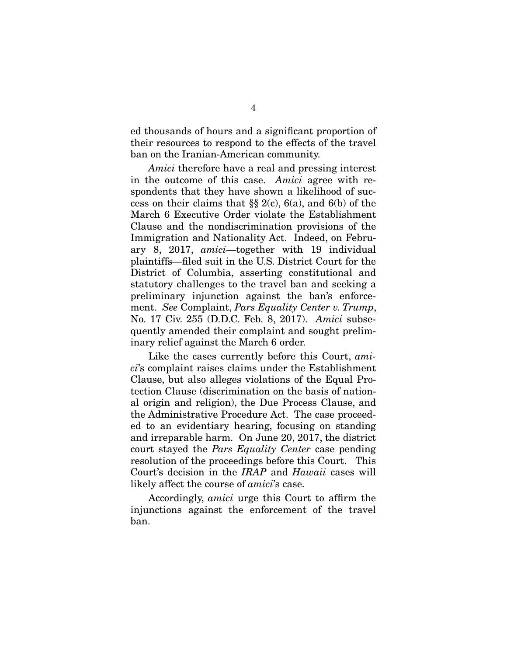ed thousands of hours and a significant proportion of their resources to respond to the effects of the travel ban on the Iranian-American community.

*Amici* therefore have a real and pressing interest in the outcome of this case. *Amici* agree with respondents that they have shown a likelihood of success on their claims that  $\S$  2(c), 6(a), and 6(b) of the March 6 Executive Order violate the Establishment Clause and the nondiscrimination provisions of the Immigration and Nationality Act. Indeed, on February 8, 2017, *amici*—together with 19 individual plaintiffs—filed suit in the U.S. District Court for the District of Columbia, asserting constitutional and statutory challenges to the travel ban and seeking a preliminary injunction against the ban's enforcement. *See* Complaint, *Pars Equality Center v. Trump*, No. 17 Civ. 255 (D.D.C. Feb. 8, 2017). *Amici* subsequently amended their complaint and sought preliminary relief against the March 6 order.

Like the cases currently before this Court, *amici*'s complaint raises claims under the Establishment Clause, but also alleges violations of the Equal Protection Clause (discrimination on the basis of national origin and religion), the Due Process Clause, and the Administrative Procedure Act. The case proceeded to an evidentiary hearing, focusing on standing and irreparable harm. On June 20, 2017, the district court stayed the *Pars Equality Center* case pending resolution of the proceedings before this Court. This Court's decision in the *IRAP* and *Hawaii* cases will likely affect the course of *amici*'s case.

Accordingly, *amici* urge this Court to affirm the injunctions against the enforcement of the travel ban.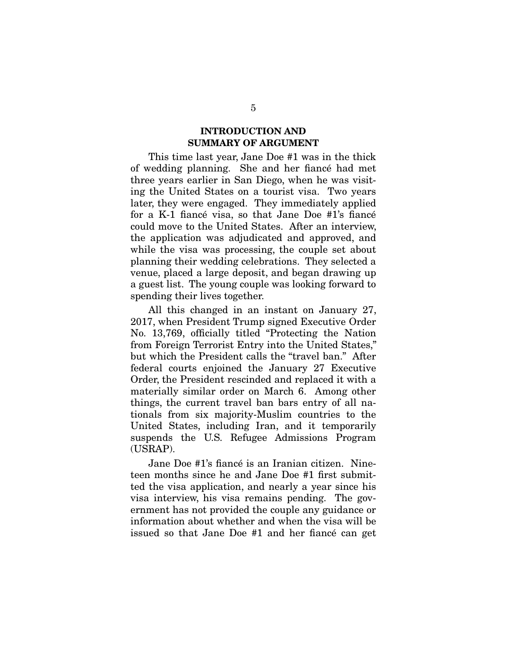### INTRODUCTION AND SUMMARY OF ARGUMENT

This time last year, Jane Doe #1 was in the thick of wedding planning. She and her fiance had met three years earlier in San Diego, when he was visiting the United States on a tourist visa. Two years later, they were engaged. They immediately applied for a K-1 fiancé visa, so that Jane Doe #1's fiancé could move to the United States. After an interview, the application was adjudicated and approved, and while the visa was processing, the couple set about planning their wedding celebrations. They selected a venue, placed a large deposit, and began drawing up a guest list. The young couple was looking forward to spending their lives together.

All this changed in an instant on January 27, 2017, when President Trump signed Executive Order No. 13,769, officially titled "Protecting the Nation" from Foreign Terrorist Entry into the United States," but which the President calls the "travel ban." After federal courts enjoined the January 27 Executive Order, the President rescinded and replaced it with a materially similar order on March 6. Among other things, the current travel ban bars entry of all nationals from six majority-Muslim countries to the United States, including Iran, and it temporarily suspends the U.S. Refugee Admissions Program (USRAP).

Jane Doe #1's fiancé is an Iranian citizen. Nineteen months since he and Jane Doe #1 first submitted the visa application, and nearly a year since his visa interview, his visa remains pending. The government has not provided the couple any guidance or information about whether and when the visa will be issued so that Jane Doe #1 and her fiance can get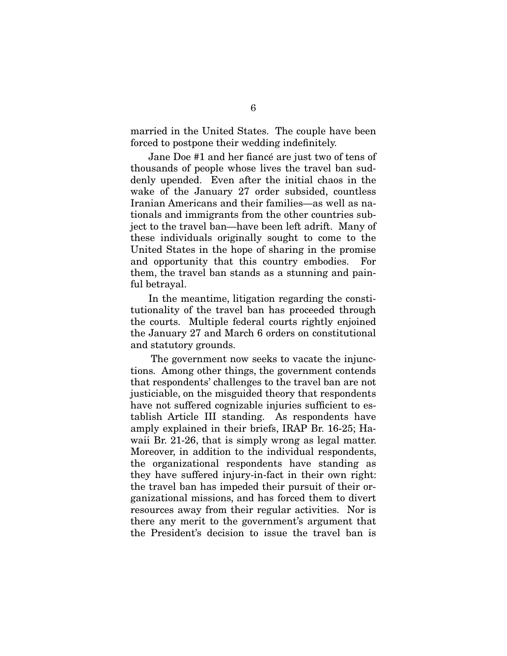married in the United States. The couple have been forced to postpone their wedding indefinitely.

Jane Doe #1 and her fiancé are just two of tens of thousands of people whose lives the travel ban suddenly upended. Even after the initial chaos in the wake of the January 27 order subsided, countless Iranian Americans and their families—as well as nationals and immigrants from the other countries subject to the travel ban—have been left adrift. Many of these individuals originally sought to come to the United States in the hope of sharing in the promise and opportunity that this country embodies. For them, the travel ban stands as a stunning and painful betrayal.

In the meantime, litigation regarding the constitutionality of the travel ban has proceeded through the courts. Multiple federal courts rightly enjoined the January 27 and March 6 orders on constitutional and statutory grounds.

The government now seeks to vacate the injunctions. Among other things, the government contends that respondents' challenges to the travel ban are not justiciable, on the misguided theory that respondents have not suffered cognizable injuries sufficient to establish Article III standing. As respondents have amply explained in their briefs, IRAP Br. 16-25; Hawaii Br. 21-26, that is simply wrong as legal matter. Moreover, in addition to the individual respondents, the organizational respondents have standing as they have suffered injury-in-fact in their own right: the travel ban has impeded their pursuit of their organizational missions, and has forced them to divert resources away from their regular activities. Nor is there any merit to the government's argument that the President's decision to issue the travel ban is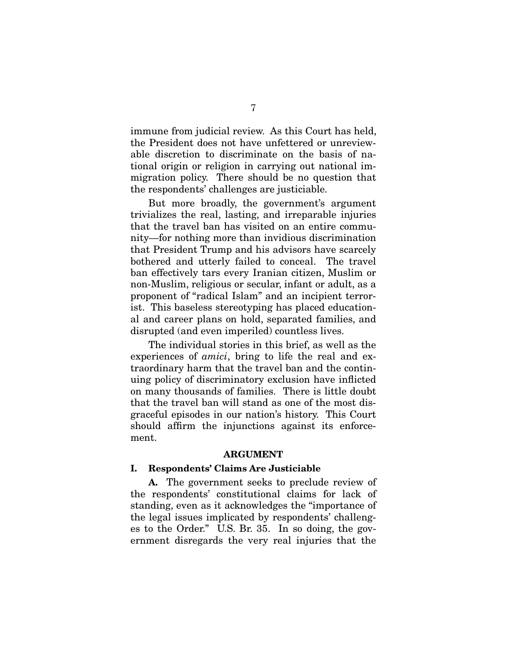immune from judicial review. As this Court has held, the President does not have unfettered or unreviewable discretion to discriminate on the basis of national origin or religion in carrying out national immigration policy. There should be no question that the respondents' challenges are justiciable.

But more broadly, the government's argument trivializes the real, lasting, and irreparable injuries that the travel ban has visited on an entire community—for nothing more than invidious discrimination that President Trump and his advisors have scarcely bothered and utterly failed to conceal. The travel ban effectively tars every Iranian citizen, Muslim or non-Muslim, religious or secular, infant or adult, as a proponent of "radical Islam" and an incipient terrorist. This baseless stereotyping has placed educational and career plans on hold, separated families, and disrupted (and even imperiled) countless lives.

The individual stories in this brief, as well as the experiences of *amici*, bring to life the real and extraordinary harm that the travel ban and the continuing policy of discriminatory exclusion have inflicted on many thousands of families. There is little doubt that the travel ban will stand as one of the most disgraceful episodes in our nation's history. This Court should affirm the injunctions against its enforcement.

#### ARGUMENT

#### I. Respondents' Claims Are Justiciable

A. The government seeks to preclude review of the respondents' constitutional claims for lack of standing, even as it acknowledges the "importance of the legal issues implicated by respondents' challenges to the Order." U.S. Br. 35. In so doing, the government disregards the very real injuries that the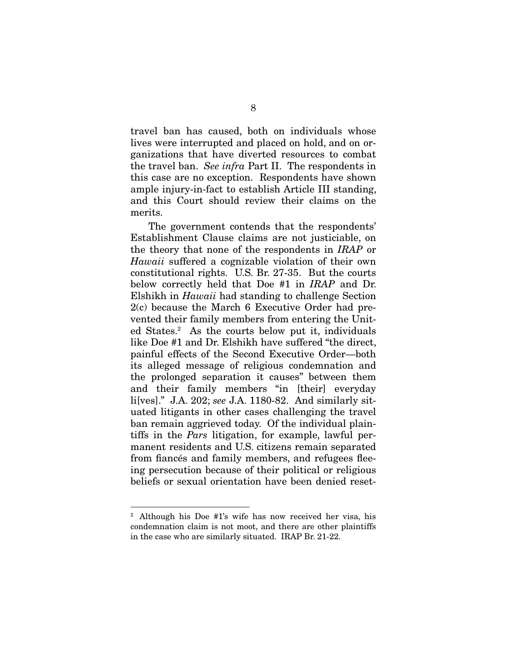travel ban has caused, both on individuals whose lives were interrupted and placed on hold, and on organizations that have diverted resources to combat the travel ban. *See infra* Part II. The respondents in this case are no exception. Respondents have shown ample injury-in-fact to establish Article III standing, and this Court should review their claims on the merits.

The government contends that the respondents' Establishment Clause claims are not justiciable, on the theory that none of the respondents in *IRAP* or *Hawaii* suffered a cognizable violation of their own constitutional rights. U.S. Br. 27-35. But the courts below correctly held that Doe #1 in *IRAP* and Dr. Elshikh in *Hawaii* had standing to challenge Section 2(c) because the March 6 Executive Order had prevented their family members from entering the United States.<sup>2</sup> As the courts below put it, individuals like Doe #1 and Dr. Elshikh have suffered "the direct, painful effects of the Second Executive Order—both its alleged message of religious condemnation and the prolonged separation it causes" between them and their family members "in [their] everyday li[ves]." J.A. 202; *see* J.A. 1180-82. And similarly situated litigants in other cases challenging the travel ban remain aggrieved today. Of the individual plaintiffs in the *Pars* litigation, for example, lawful permanent residents and U.S. citizens remain separated from fiances and family members, and refugees fleeing persecution because of their political or religious beliefs or sexual orientation have been denied reset-

<sup>2</sup> Although his Doe #1's wife has now received her visa, his condemnation claim is not moot, and there are other plaintiffs in the case who are similarly situated. IRAP Br. 21-22.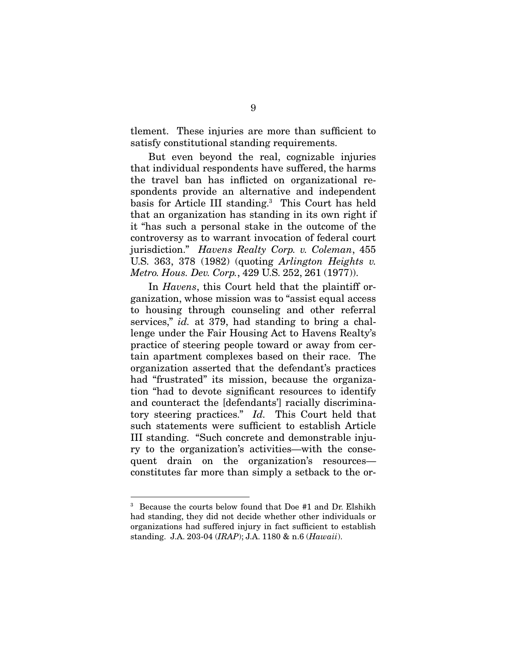tlement. These injuries are more than sufficient to satisfy constitutional standing requirements.

But even beyond the real, cognizable injuries that individual respondents have suffered, the harms the travel ban has inflicted on organizational respondents provide an alternative and independent basis for Article III standing.<sup>3</sup> This Court has held that an organization has standing in its own right if it "has such a personal stake in the outcome of the controversy as to warrant invocation of federal court jurisdiction." *Havens Realty Corp. v. Coleman*, 455 U.S. 363, 378 (1982) (quoting *Arlington Heights v. Metro. Hous. Dev. Corp.*, 429 U.S. 252, 261 (1977)).

In *Havens*, this Court held that the plaintiff organization, whose mission was to "assist equal access to housing through counseling and other referral services," *id.* at 379, had standing to bring a challenge under the Fair Housing Act to Havens Realty's practice of steering people toward or away from certain apartment complexes based on their race. The organization asserted that the defendant's practices had "frustrated" its mission, because the organization "had to devote significant resources to identify and counteract the [defendants'] racially discriminatory steering practices." *Id.* This Court held that such statements were sufficient to establish Article III standing. "Such concrete and demonstrable injury to the organization's activities—with the consequent drain on the organization's resources constitutes far more than simply a setback to the or-

<sup>&</sup>lt;sup>3</sup> Because the courts below found that Doe #1 and Dr. Elshikh had standing, they did not decide whether other individuals or organizations had suffered injury in fact sufficient to establish standing. J.A. 203-04 (*IRAP*); J.A. 1180 & n.6 (*Hawaii*).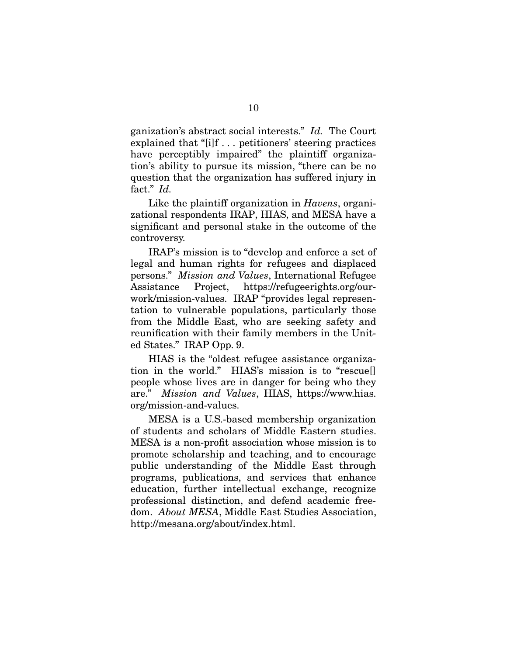ganization's abstract social interests." *Id.* The Court explained that "[i]f . . . petitioners' steering practices have perceptibly impaired" the plaintiff organization's ability to pursue its mission, "there can be no question that the organization has suffered injury in fact." *Id.*

Like the plaintiff organization in *Havens*, organizational respondents IRAP, HIAS, and MESA have a significant and personal stake in the outcome of the controversy.

IRAP's mission is to "develop and enforce a set of legal and human rights for refugees and displaced persons." *Mission and Values*, International Refugee Assistance Project, https://refugeerights.org/ourwork/mission-values. IRAP "provides legal representation to vulnerable populations, particularly those from the Middle East, who are seeking safety and reunification with their family members in the United States." IRAP Opp. 9.

HIAS is the "oldest refugee assistance organization in the world." HIAS's mission is to "rescue[] people whose lives are in danger for being who they are." *Mission and Values*, HIAS, https://www.hias. org/mission-and-values.

MESA is a U.S.-based membership organization of students and scholars of Middle Eastern studies. MESA is a non-profit association whose mission is to promote scholarship and teaching, and to encourage public understanding of the Middle East through programs, publications, and services that enhance education, further intellectual exchange, recognize professional distinction, and defend academic freedom. *About MESA*, Middle East Studies Association, http://mesana.org/about/index.html.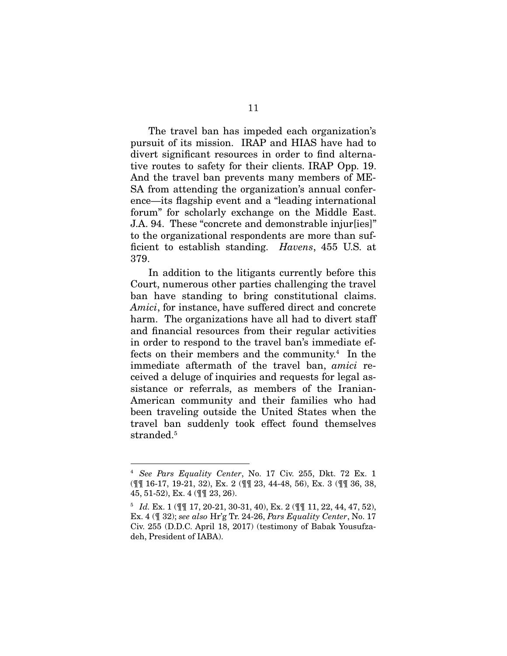The travel ban has impeded each organization's pursuit of its mission. IRAP and HIAS have had to divert significant resources in order to find alternative routes to safety for their clients. IRAP Opp. 19. And the travel ban prevents many members of ME-SA from attending the organization's annual conference—its flagship event and a "leading international forum" for scholarly exchange on the Middle East. J.A. 94. These "concrete and demonstrable injur[ies]" to the organizational respondents are more than sufficient to establish standing. *Havens*, 455 U.S. at 379.

In addition to the litigants currently before this Court, numerous other parties challenging the travel ban have standing to bring constitutional claims. *Amici*, for instance, have suffered direct and concrete harm. The organizations have all had to divert staff and financial resources from their regular activities in order to respond to the travel ban's immediate effects on their members and the community.<sup>4</sup> In the immediate aftermath of the travel ban, *amici* received a deluge of inquiries and requests for legal assistance or referrals, as members of the Iranian-American community and their families who had been traveling outside the United States when the travel ban suddenly took effect found themselves stranded.<sup>5</sup>

<sup>4</sup> *See Pars Equality Center*, No. 17 Civ. 255, Dkt. 72 Ex. 1 (¶¶ 16-17, 19-21, 32), Ex. 2 (¶¶ 23, 44-48, 56), Ex. 3 (¶¶ 36, 38, 45, 51-52), Ex. 4 (¶¶ 23, 26).

<sup>5</sup> *Id.* Ex. 1 (¶¶ 17, 20-21, 30-31, 40), Ex. 2 (¶¶ 11, 22, 44, 47, 52), Ex. 4 (¶ 32); *see also* Hr'g Tr. 24-26, *Pars Equality Center*, No. 17 Civ. 255 (D.D.C. April 18, 2017) (testimony of Babak Yousufzadeh, President of IABA).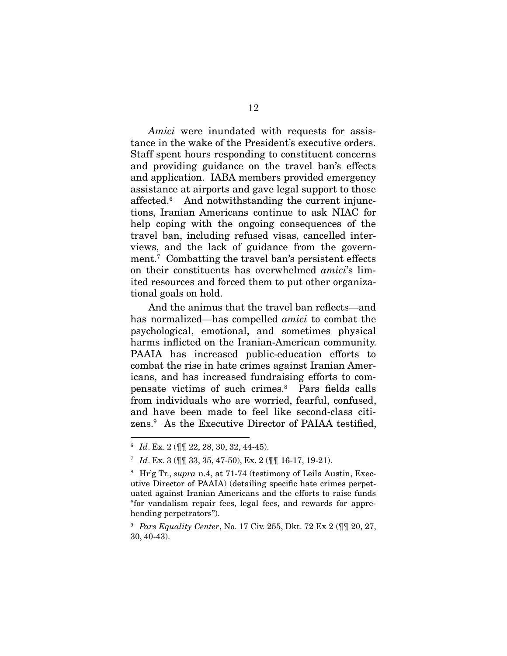*Amici* were inundated with requests for assistance in the wake of the President's executive orders. Staff spent hours responding to constituent concerns and providing guidance on the travel ban's effects and application. IABA members provided emergency assistance at airports and gave legal support to those affected.<sup>6</sup> And notwithstanding the current injunctions, Iranian Americans continue to ask NIAC for help coping with the ongoing consequences of the travel ban, including refused visas, cancelled interviews, and the lack of guidance from the government.<sup>7</sup> Combatting the travel ban's persistent effects on their constituents has overwhelmed *amici*'s limited resources and forced them to put other organizational goals on hold.

And the animus that the travel ban reflects—and has normalized—has compelled *amici* to combat the psychological, emotional, and sometimes physical harms inflicted on the Iranian-American community. PAAIA has increased public-education efforts to combat the rise in hate crimes against Iranian Americans, and has increased fundraising efforts to compensate victims of such crimes.<sup>8</sup> Pars fields calls from individuals who are worried, fearful, confused, and have been made to feel like second-class citizens.<sup>9</sup> As the Executive Director of PAIAA testified,

<sup>6</sup> *Id*. Ex. 2 (¶¶ 22, 28, 30, 32, 44-45).

<sup>7</sup> *Id*. Ex. 3 (¶¶ 33, 35, 47-50), Ex. 2 (¶¶ 16-17, 19-21).

<sup>8</sup> Hr'g Tr., *supra* n.4, at 71-74 (testimony of Leila Austin, Executive Director of PAAIA) (detailing specific hate crimes perpetuated against Iranian Americans and the efforts to raise funds "for vandalism repair fees, legal fees, and rewards for apprehending perpetrators").

<sup>9</sup> *Pars Equality Center*, No. 17 Civ. 255, Dkt. 72 Ex 2 (¶¶ 20, 27, 30, 40-43).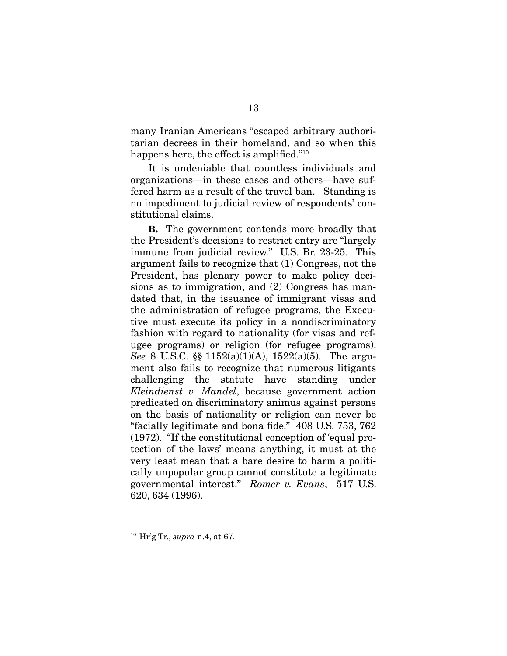many Iranian Americans "escaped arbitrary authoritarian decrees in their homeland, and so when this happens here, the effect is amplified." $^{\scriptscriptstyle 10}$ 

It is undeniable that countless individuals and organizations—in these cases and others—have suffered harm as a result of the travel ban. Standing is no impediment to judicial review of respondents' constitutional claims.

B. The government contends more broadly that the President's decisions to restrict entry are "largely immune from judicial review." U.S. Br. 23-25. This argument fails to recognize that (1) Congress, not the President, has plenary power to make policy decisions as to immigration, and (2) Congress has mandated that, in the issuance of immigrant visas and the administration of refugee programs, the Executive must execute its policy in a nondiscriminatory fashion with regard to nationality (for visas and refugee programs) or religion (for refugee programs). *See* 8 U.S.C. §§ 1152(a)(1)(A), 1522(a)(5). The argument also fails to recognize that numerous litigants challenging the statute have standing under *Kleindienst v. Mandel*, because government action predicated on discriminatory animus against persons on the basis of nationality or religion can never be "facially legitimate and bona fide."  $408$  U.S. 753, 762 (1972). "If the constitutional conception of 'equal protection of the laws' means anything, it must at the very least mean that a bare desire to harm a politically unpopular group cannot constitute a legitimate governmental interest." *Romer v. Evans*, 517 U.S. 620, 634 (1996).

<sup>10</sup> Hr'g Tr., *supra* n.4, at 67.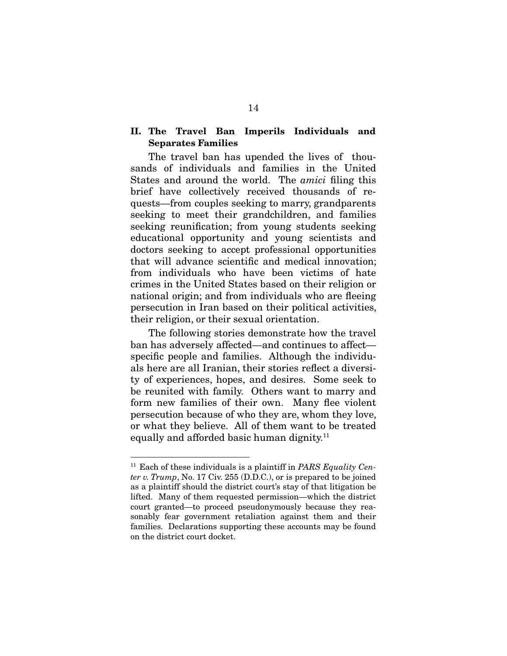## II. The Travel Ban Imperils Individuals and Separates Families

The travel ban has upended the lives of thousands of individuals and families in the United States and around the world. The *amici* filing this brief have collectively received thousands of requests—from couples seeking to marry, grandparents seeking to meet their grandchildren, and families seeking reunification; from young students seeking educational opportunity and young scientists and doctors seeking to accept professional opportunities that will advance scientific and medical innovation: from individuals who have been victims of hate crimes in the United States based on their religion or national origin; and from individuals who are fleeing persecution in Iran based on their political activities, their religion, or their sexual orientation.

The following stories demonstrate how the travel ban has adversely affected—and continues to affect specific people and families. Although the individuals here are all Iranian, their stories reflect a diversity of experiences, hopes, and desires. Some seek to be reunited with family. Others want to marry and form new families of their own. Many flee violent persecution because of who they are, whom they love, or what they believe. All of them want to be treated equally and afforded basic human dignity.<sup>11</sup>

<sup>11</sup> Each of these individuals is a plaintiff in *PARS Equality Center v. Trump*, No. 17 Civ. 255 (D.D.C.), or is prepared to be joined as a plaintiff should the district court's stay of that litigation be lifted. Many of them requested permission—which the district court granted—to proceed pseudonymously because they reasonably fear government retaliation against them and their families. Declarations supporting these accounts may be found on the district court docket.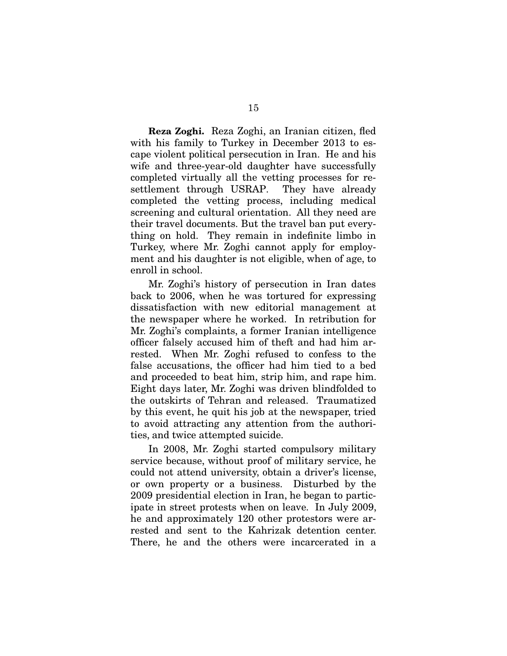Reza Zoghi. Reza Zoghi, an Iranian citizen, fled with his family to Turkey in December 2013 to escape violent political persecution in Iran. He and his wife and three-year-old daughter have successfully completed virtually all the vetting processes for resettlement through USRAP. They have already completed the vetting process, including medical screening and cultural orientation. All they need are their travel documents. But the travel ban put everything on hold. They remain in indefinite limbo in Turkey, where Mr. Zoghi cannot apply for employment and his daughter is not eligible, when of age, to enroll in school.

Mr. Zoghi's history of persecution in Iran dates back to 2006, when he was tortured for expressing dissatisfaction with new editorial management at the newspaper where he worked. In retribution for Mr. Zoghi's complaints, a former Iranian intelligence officer falsely accused him of theft and had him arrested. When Mr. Zoghi refused to confess to the false accusations, the officer had him tied to a bed and proceeded to beat him, strip him, and rape him. Eight days later, Mr. Zoghi was driven blindfolded to the outskirts of Tehran and released. Traumatized by this event, he quit his job at the newspaper, tried to avoid attracting any attention from the authorities, and twice attempted suicide.

In 2008, Mr. Zoghi started compulsory military service because, without proof of military service, he could not attend university, obtain a driver's license, or own property or a business. Disturbed by the 2009 presidential election in Iran, he began to participate in street protests when on leave. In July 2009, he and approximately 120 other protestors were arrested and sent to the Kahrizak detention center. There, he and the others were incarcerated in a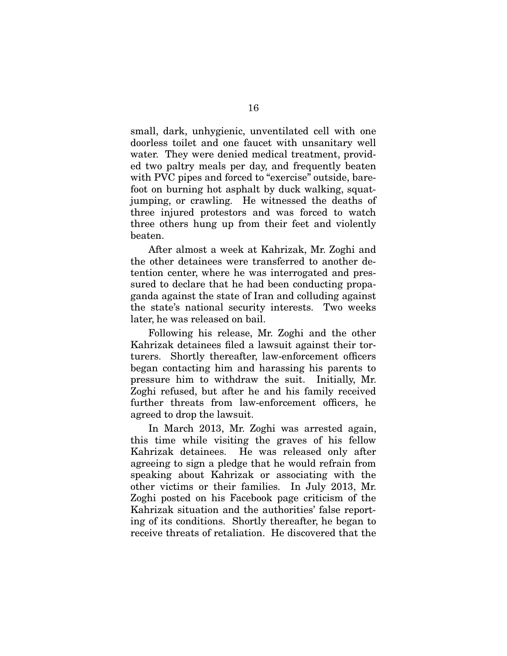small, dark, unhygienic, unventilated cell with one doorless toilet and one faucet with unsanitary well water. They were denied medical treatment, provided two paltry meals per day, and frequently beaten with PVC pipes and forced to "exercise" outside, barefoot on burning hot asphalt by duck walking, squatjumping, or crawling. He witnessed the deaths of three injured protestors and was forced to watch three others hung up from their feet and violently beaten.

After almost a week at Kahrizak, Mr. Zoghi and the other detainees were transferred to another detention center, where he was interrogated and pressured to declare that he had been conducting propaganda against the state of Iran and colluding against the state's national security interests. Two weeks later, he was released on bail.

Following his release, Mr. Zoghi and the other Kahrizak detainees filed a lawsuit against their torturers. Shortly thereafter, law-enforcement officers began contacting him and harassing his parents to pressure him to withdraw the suit. Initially, Mr. Zoghi refused, but after he and his family received further threats from law-enforcement officers, he agreed to drop the lawsuit.

In March 2013, Mr. Zoghi was arrested again, this time while visiting the graves of his fellow Kahrizak detainees. He was released only after agreeing to sign a pledge that he would refrain from speaking about Kahrizak or associating with the other victims or their families. In July 2013, Mr. Zoghi posted on his Facebook page criticism of the Kahrizak situation and the authorities' false reporting of its conditions. Shortly thereafter, he began to receive threats of retaliation. He discovered that the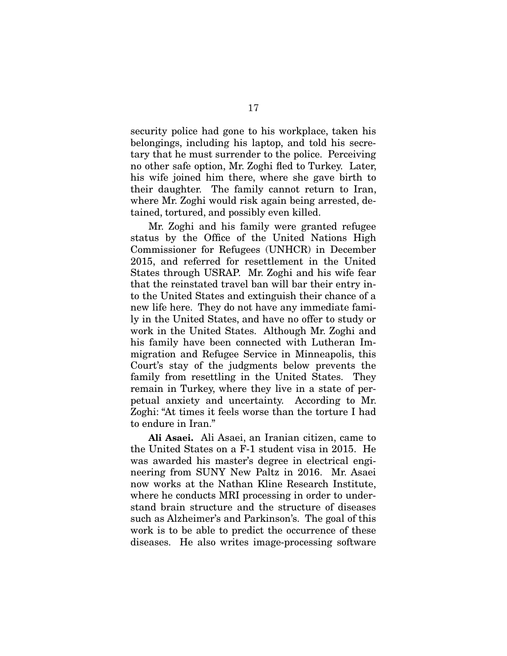security police had gone to his workplace, taken his belongings, including his laptop, and told his secretary that he must surrender to the police. Perceiving no other safe option, Mr. Zoghi fled to Turkey. Later, his wife joined him there, where she gave birth to their daughter. The family cannot return to Iran, where Mr. Zoghi would risk again being arrested, detained, tortured, and possibly even killed.

Mr. Zoghi and his family were granted refugee status by the Office of the United Nations High Commissioner for Refugees (UNHCR) in December 2015, and referred for resettlement in the United States through USRAP. Mr. Zoghi and his wife fear that the reinstated travel ban will bar their entry into the United States and extinguish their chance of a new life here. They do not have any immediate family in the United States, and have no offer to study or work in the United States. Although Mr. Zoghi and his family have been connected with Lutheran Immigration and Refugee Service in Minneapolis, this Court's stay of the judgments below prevents the family from resettling in the United States. They remain in Turkey, where they live in a state of perpetual anxiety and uncertainty. According to Mr. Zoghi: "At times it feels worse than the torture I had to endure in Iran."

Ali Asaei. Ali Asaei, an Iranian citizen, came to the United States on a F-1 student visa in 2015. He was awarded his master's degree in electrical engineering from SUNY New Paltz in 2016. Mr. Asaei now works at the Nathan Kline Research Institute, where he conducts MRI processing in order to understand brain structure and the structure of diseases such as Alzheimer's and Parkinson's. The goal of this work is to be able to predict the occurrence of these diseases. He also writes image-processing software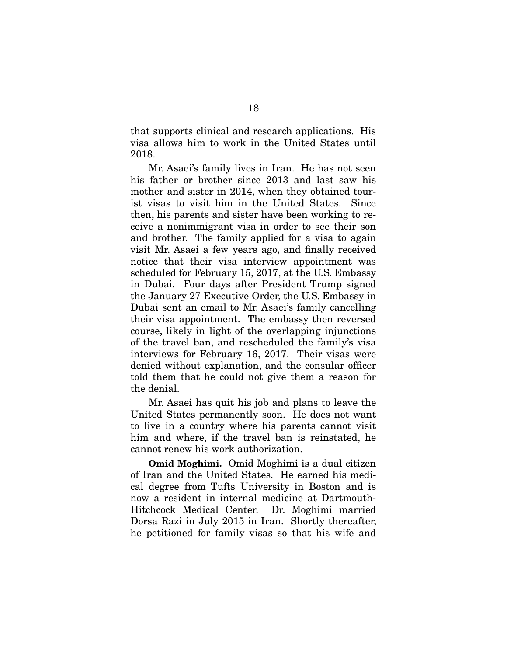that supports clinical and research applications. His visa allows him to work in the United States until 2018.

Mr. Asaei's family lives in Iran. He has not seen his father or brother since 2013 and last saw his mother and sister in 2014, when they obtained tourist visas to visit him in the United States. Since then, his parents and sister have been working to receive a nonimmigrant visa in order to see their son and brother. The family applied for a visa to again visit Mr. Asaei a few years ago, and finally received notice that their visa interview appointment was scheduled for February 15, 2017, at the U.S. Embassy in Dubai. Four days after President Trump signed the January 27 Executive Order, the U.S. Embassy in Dubai sent an email to Mr. Asaei's family cancelling their visa appointment. The embassy then reversed course, likely in light of the overlapping injunctions of the travel ban, and rescheduled the family's visa interviews for February 16, 2017. Their visas were denied without explanation, and the consular officer told them that he could not give them a reason for the denial.

Mr. Asaei has quit his job and plans to leave the United States permanently soon. He does not want to live in a country where his parents cannot visit him and where, if the travel ban is reinstated, he cannot renew his work authorization.

Omid Moghimi. Omid Moghimi is a dual citizen of Iran and the United States. He earned his medical degree from Tufts University in Boston and is now a resident in internal medicine at Dartmouth-Hitchcock Medical Center. Dr. Moghimi married Dorsa Razi in July 2015 in Iran. Shortly thereafter, he petitioned for family visas so that his wife and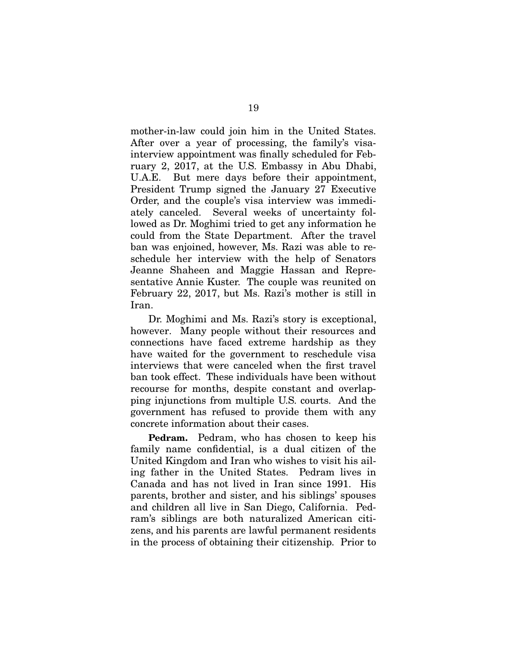mother-in-law could join him in the United States. After over a year of processing, the family's visainterview appointment was finally scheduled for February 2, 2017, at the U.S. Embassy in Abu Dhabi, U.A.E. But mere days before their appointment, President Trump signed the January 27 Executive Order, and the couple's visa interview was immediately canceled. Several weeks of uncertainty followed as Dr. Moghimi tried to get any information he could from the State Department. After the travel ban was enjoined, however, Ms. Razi was able to reschedule her interview with the help of Senators Jeanne Shaheen and Maggie Hassan and Representative Annie Kuster. The couple was reunited on February 22, 2017, but Ms. Razi's mother is still in Iran.

Dr. Moghimi and Ms. Razi's story is exceptional, however. Many people without their resources and connections have faced extreme hardship as they have waited for the government to reschedule visa interviews that were canceled when the first travel ban took effect. These individuals have been without recourse for months, despite constant and overlapping injunctions from multiple U.S. courts. And the government has refused to provide them with any concrete information about their cases.

Pedram. Pedram, who has chosen to keep his family name confidential, is a dual citizen of the United Kingdom and Iran who wishes to visit his ailing father in the United States. Pedram lives in Canada and has not lived in Iran since 1991. His parents, brother and sister, and his siblings' spouses and children all live in San Diego, California. Pedram's siblings are both naturalized American citizens, and his parents are lawful permanent residents in the process of obtaining their citizenship. Prior to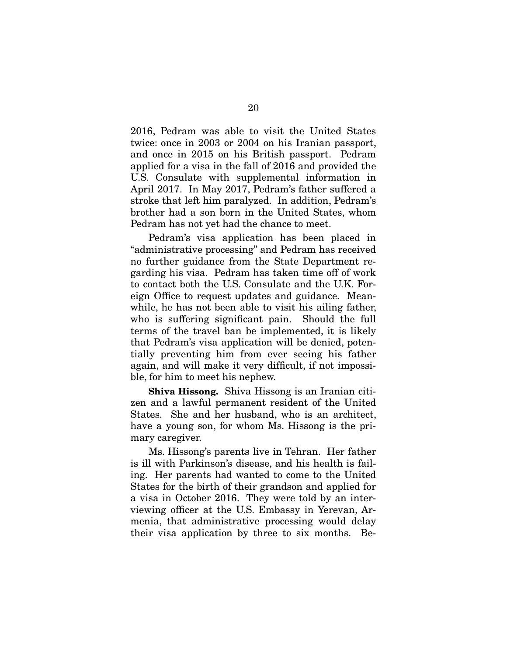2016, Pedram was able to visit the United States twice: once in 2003 or 2004 on his Iranian passport, and once in 2015 on his British passport. Pedram applied for a visa in the fall of 2016 and provided the U.S. Consulate with supplemental information in April 2017. In May 2017, Pedram's father suffered a stroke that left him paralyzed. In addition, Pedram's brother had a son born in the United States, whom Pedram has not yet had the chance to meet.

Pedram's visa application has been placed in "administrative processing" and Pedram has received no further guidance from the State Department regarding his visa. Pedram has taken time off of work to contact both the U.S. Consulate and the U.K. Foreign Office to request updates and guidance. Meanwhile, he has not been able to visit his ailing father, who is suffering significant pain. Should the full terms of the travel ban be implemented, it is likely that Pedram's visa application will be denied, potentially preventing him from ever seeing his father again, and will make it very difficult, if not impossible, for him to meet his nephew.

Shiva Hissong. Shiva Hissong is an Iranian citizen and a lawful permanent resident of the United States. She and her husband, who is an architect, have a young son, for whom Ms. Hissong is the primary caregiver.

Ms. Hissong's parents live in Tehran. Her father is ill with Parkinson's disease, and his health is failing. Her parents had wanted to come to the United States for the birth of their grandson and applied for a visa in October 2016. They were told by an interviewing officer at the U.S. Embassy in Yerevan, Armenia, that administrative processing would delay their visa application by three to six months. Be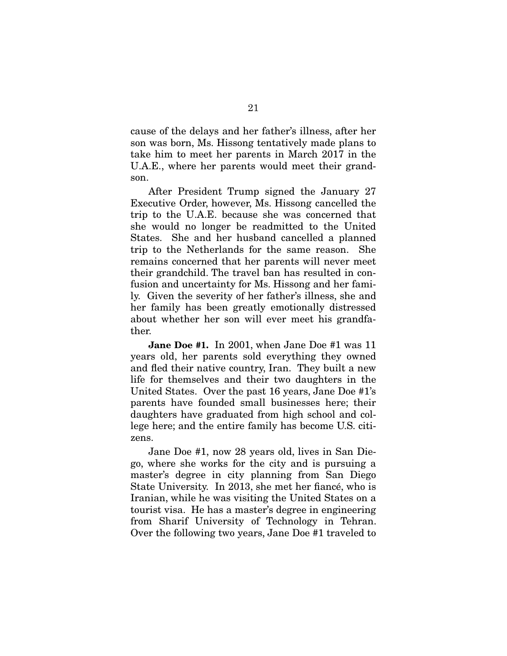cause of the delays and her father's illness, after her son was born, Ms. Hissong tentatively made plans to take him to meet her parents in March 2017 in the U.A.E., where her parents would meet their grandson.

After President Trump signed the January 27 Executive Order, however, Ms. Hissong cancelled the trip to the U.A.E. because she was concerned that she would no longer be readmitted to the United States. She and her husband cancelled a planned trip to the Netherlands for the same reason. She remains concerned that her parents will never meet their grandchild. The travel ban has resulted in confusion and uncertainty for Ms. Hissong and her family. Given the severity of her father's illness, she and her family has been greatly emotionally distressed about whether her son will ever meet his grandfather.

Jane Doe #1. In 2001, when Jane Doe #1 was 11 years old, her parents sold everything they owned and fled their native country, Iran. They built a new life for themselves and their two daughters in the United States. Over the past 16 years, Jane Doe #1's parents have founded small businesses here; their daughters have graduated from high school and college here; and the entire family has become U.S. citizens.

Jane Doe #1, now 28 years old, lives in San Diego, where she works for the city and is pursuing a master's degree in city planning from San Diego State University. In 2013, she met her fiancé, who is Iranian, while he was visiting the United States on a tourist visa. He has a master's degree in engineering from Sharif University of Technology in Tehran. Over the following two years, Jane Doe #1 traveled to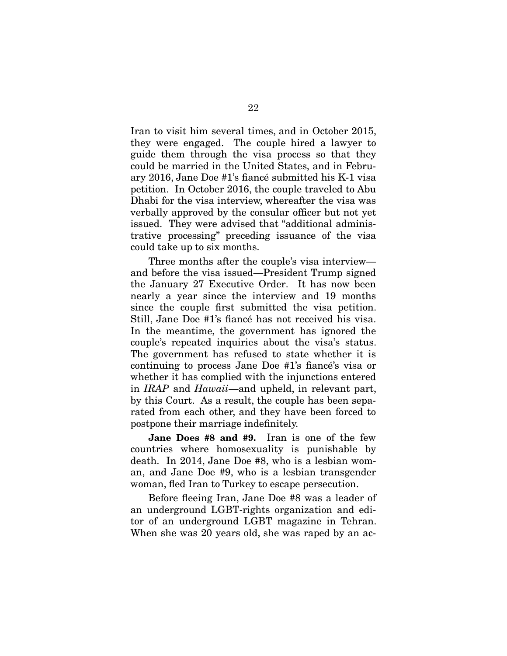Iran to visit him several times, and in October 2015, they were engaged. The couple hired a lawyer to guide them through the visa process so that they could be married in the United States, and in February 2016, Jane Doe #1's fiancé submitted his K-1 visa petition. In October 2016, the couple traveled to Abu Dhabi for the visa interview, whereafter the visa was werbally approved by the consular officer but not yet issued. They were advised that "additional administrative processing" preceding issuance of the visa could take up to six months.

Three months after the couple's visa interview and before the visa issued—President Trump signed the January 27 Executive Order. It has now been nearly a year since the interview and 19 months since the couple first submitted the visa petition. Still, Jane Doe #1's fiancé has not received his visa. In the meantime, the government has ignored the couple's repeated inquiries about the visa's status. The government has refused to state whether it is continuing to process Jane Doe #1's fiance's visa or whether it has complied with the injunctions entered in *IRAP* and *Hawaii*—and upheld, in relevant part, by this Court. As a result, the couple has been separated from each other, and they have been forced to postpone their marriage indefinitely.

Jane Does #8 and #9. Iran is one of the few countries where homosexuality is punishable by death. In 2014, Jane Doe #8, who is a lesbian woman, and Jane Doe #9, who is a lesbian transgender woman, fled Iran to Turkey to escape persecution.

Before fleeing Iran, Jane Doe #8 was a leader of an underground LGBT-rights organization and editor of an underground LGBT magazine in Tehran. When she was 20 years old, she was raped by an ac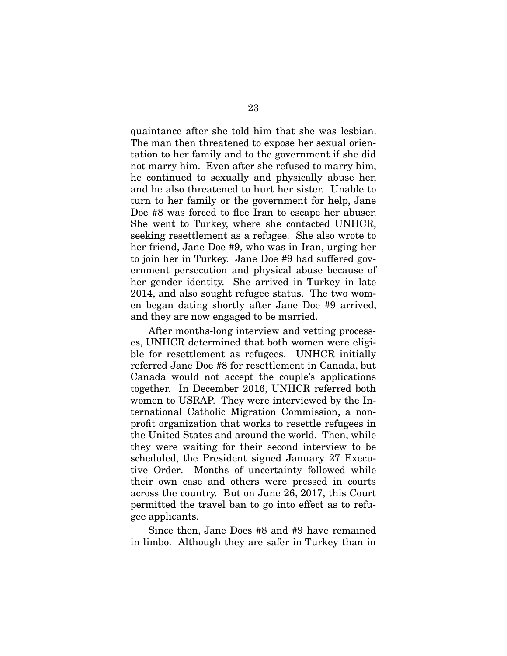quaintance after she told him that she was lesbian. The man then threatened to expose her sexual orientation to her family and to the government if she did not marry him. Even after she refused to marry him, he continued to sexually and physically abuse her, and he also threatened to hurt her sister. Unable to turn to her family or the government for help, Jane Doe #8 was forced to flee Iran to escape her abuser. She went to Turkey, where she contacted UNHCR, seeking resettlement as a refugee. She also wrote to her friend, Jane Doe #9, who was in Iran, urging her to join her in Turkey. Jane Doe #9 had suffered government persecution and physical abuse because of her gender identity. She arrived in Turkey in late 2014, and also sought refugee status. The two women began dating shortly after Jane Doe #9 arrived, and they are now engaged to be married.

After months-long interview and vetting processes, UNHCR determined that both women were eligible for resettlement as refugees. UNHCR initially referred Jane Doe #8 for resettlement in Canada, but Canada would not accept the couple's applications together. In December 2016, UNHCR referred both women to USRAP. They were interviewed by the International Catholic Migration Commission, a nonprofit organization that works to resettle refugees in the United States and around the world. Then, while they were waiting for their second interview to be scheduled, the President signed January 27 Executive Order. Months of uncertainty followed while their own case and others were pressed in courts across the country. But on June 26, 2017, this Court permitted the travel ban to go into effect as to refugee applicants.

Since then, Jane Does #8 and #9 have remained in limbo. Although they are safer in Turkey than in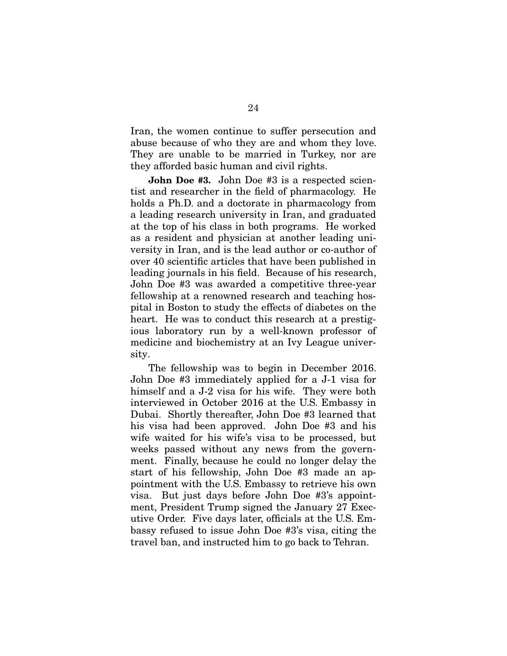Iran, the women continue to suffer persecution and abuse because of who they are and whom they love. They are unable to be married in Turkey, nor are they afforded basic human and civil rights.

John Doe #3. John Doe #3 is a respected scientist and researcher in the field of pharmacology. He holds a Ph.D. and a doctorate in pharmacology from a leading research university in Iran, and graduated at the top of his class in both programs. He worked as a resident and physician at another leading university in Iran, and is the lead author or co-author of over 40 scientific articles that have been published in leading journals in his field. Because of his research, John Doe #3 was awarded a competitive three-year fellowship at a renowned research and teaching hospital in Boston to study the effects of diabetes on the heart. He was to conduct this research at a prestigious laboratory run by a well-known professor of medicine and biochemistry at an Ivy League university.

The fellowship was to begin in December 2016. John Doe #3 immediately applied for a J-1 visa for himself and a J-2 visa for his wife. They were both interviewed in October 2016 at the U.S. Embassy in Dubai. Shortly thereafter, John Doe #3 learned that his visa had been approved. John Doe #3 and his wife waited for his wife's visa to be processed, but weeks passed without any news from the government. Finally, because he could no longer delay the start of his fellowship, John Doe #3 made an appointment with the U.S. Embassy to retrieve his own visa. But just days before John Doe #3's appointment, President Trump signed the January 27 Executive Order. Five days later, officials at the U.S. Embassy refused to issue John Doe #3's visa, citing the travel ban, and instructed him to go back to Tehran.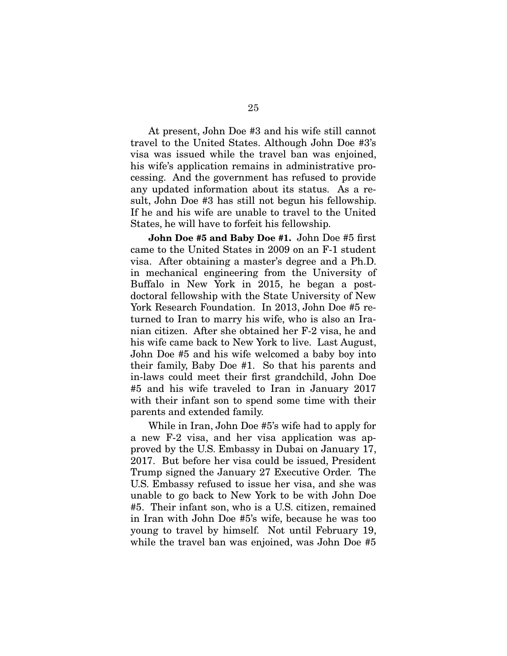At present, John Doe #3 and his wife still cannot travel to the United States. Although John Doe #3's visa was issued while the travel ban was enjoined, his wife's application remains in administrative processing. And the government has refused to provide any updated information about its status. As a result, John Doe #3 has still not begun his fellowship. If he and his wife are unable to travel to the United States, he will have to forfeit his fellowship.

John Doe #5 and Baby Doe #1. John Doe #5 first came to the United States in 2009 on an F-1 student visa. After obtaining a master's degree and a Ph.D. in mechanical engineering from the University of Buffalo in New York in 2015, he began a postdoctoral fellowship with the State University of New York Research Foundation. In 2013, John Doe #5 returned to Iran to marry his wife, who is also an Iranian citizen. After she obtained her F-2 visa, he and his wife came back to New York to live. Last August, John Doe #5 and his wife welcomed a baby boy into their family, Baby Doe #1. So that his parents and in-laws could meet their first grandchild, John Doe #5 and his wife traveled to Iran in January 2017 with their infant son to spend some time with their parents and extended family.

While in Iran, John Doe #5's wife had to apply for a new F-2 visa, and her visa application was approved by the U.S. Embassy in Dubai on January 17, 2017. But before her visa could be issued, President Trump signed the January 27 Executive Order. The U.S. Embassy refused to issue her visa, and she was unable to go back to New York to be with John Doe #5. Their infant son, who is a U.S. citizen, remained in Iran with John Doe #5's wife, because he was too young to travel by himself. Not until February 19, while the travel ban was enjoined, was John Doe #5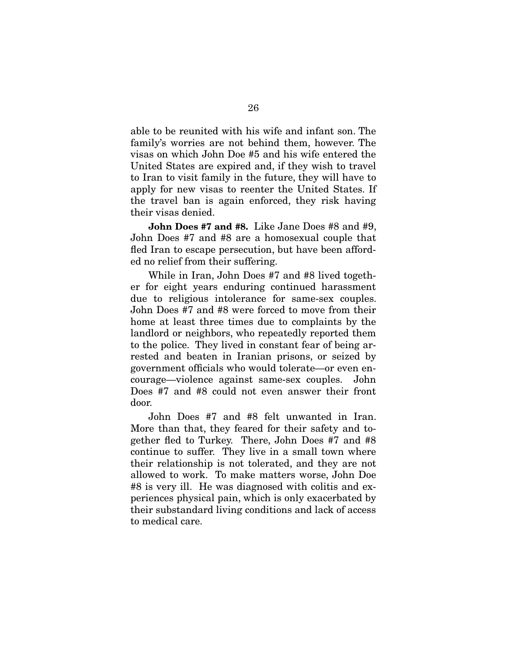able to be reunited with his wife and infant son. The family's worries are not behind them, however. The visas on which John Doe #5 and his wife entered the United States are expired and, if they wish to travel to Iran to visit family in the future, they will have to apply for new visas to reenter the United States. If the travel ban is again enforced, they risk having their visas denied.

John Does #7 and #8. Like Jane Does #8 and #9, John Does #7 and #8 are a homosexual couple that fled Iran to escape persecution, but have been afforded no relief from their suffering.

While in Iran, John Does #7 and #8 lived together for eight years enduring continued harassment due to religious intolerance for same-sex couples. John Does #7 and #8 were forced to move from their home at least three times due to complaints by the landlord or neighbors, who repeatedly reported them to the police. They lived in constant fear of being arrested and beaten in Iranian prisons, or seized by government officials who would tolerate—or even encourage—violence against same-sex couples. John Does #7 and #8 could not even answer their front door.

John Does #7 and #8 felt unwanted in Iran. More than that, they feared for their safety and together fled to Turkey. There, John Does #7 and #8 continue to suffer. They live in a small town where their relationship is not tolerated, and they are not allowed to work. To make matters worse, John Doe #8 is very ill. He was diagnosed with colitis and experiences physical pain, which is only exacerbated by their substandard living conditions and lack of access to medical care.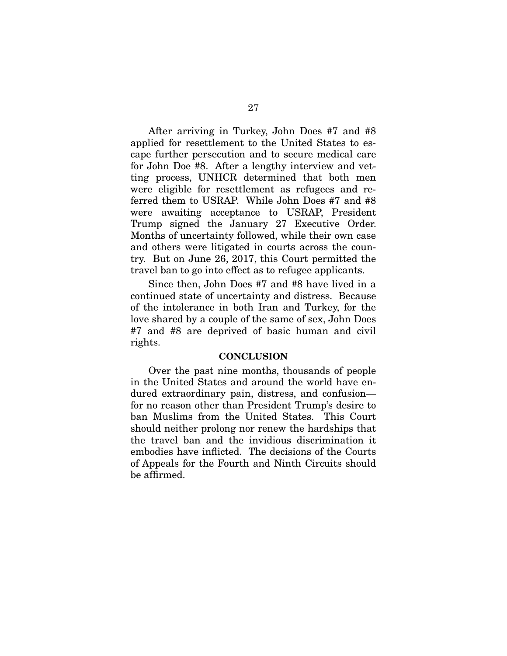After arriving in Turkey, John Does #7 and #8 applied for resettlement to the United States to escape further persecution and to secure medical care for John Doe #8. After a lengthy interview and vetting process, UNHCR determined that both men were eligible for resettlement as refugees and referred them to USRAP. While John Does #7 and #8 were awaiting acceptance to USRAP, President Trump signed the January 27 Executive Order. Months of uncertainty followed, while their own case and others were litigated in courts across the country. But on June 26, 2017, this Court permitted the travel ban to go into effect as to refugee applicants.

Since then, John Does #7 and #8 have lived in a continued state of uncertainty and distress. Because of the intolerance in both Iran and Turkey, for the love shared by a couple of the same of sex, John Does #7 and #8 are deprived of basic human and civil rights.

#### **CONCLUSION**

Over the past nine months, thousands of people in the United States and around the world have endured extraordinary pain, distress, and confusion for no reason other than President Trump's desire to ban Muslims from the United States. This Court should neither prolong nor renew the hardships that the travel ban and the invidious discrimination it embodies have inflicted. The decisions of the Courts of Appeals for the Fourth and Ninth Circuits should be affirmed.